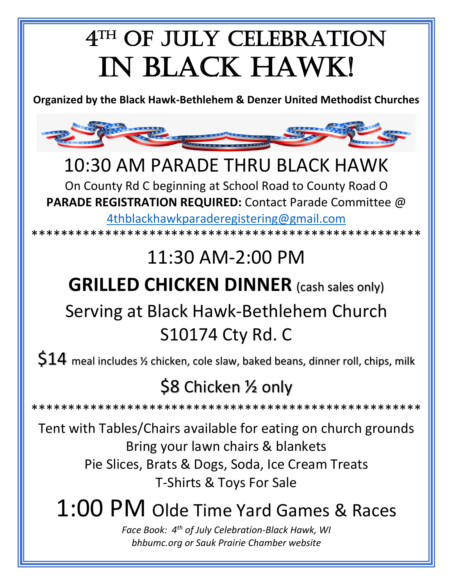